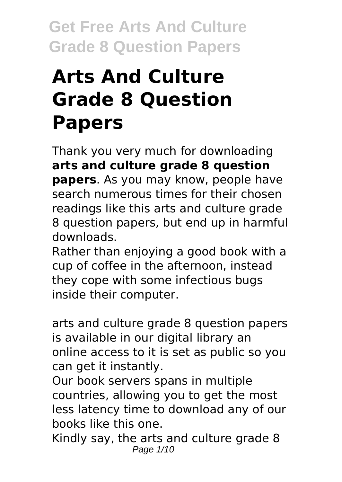# **Arts And Culture Grade 8 Question Papers**

Thank you very much for downloading **arts and culture grade 8 question papers**. As you may know, people have search numerous times for their chosen readings like this arts and culture grade 8 question papers, but end up in harmful downloads.

Rather than enjoying a good book with a cup of coffee in the afternoon, instead they cope with some infectious bugs inside their computer.

arts and culture grade 8 question papers is available in our digital library an online access to it is set as public so you can get it instantly.

Our book servers spans in multiple countries, allowing you to get the most less latency time to download any of our books like this one.

Kindly say, the arts and culture grade 8 Page 1/10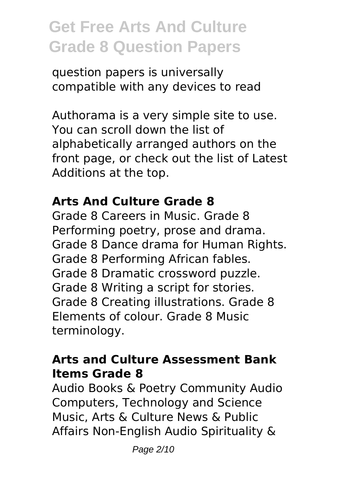question papers is universally compatible with any devices to read

Authorama is a very simple site to use. You can scroll down the list of alphabetically arranged authors on the front page, or check out the list of Latest Additions at the top.

#### **Arts And Culture Grade 8**

Grade 8 Careers in Music. Grade 8 Performing poetry, prose and drama. Grade 8 Dance drama for Human Rights. Grade 8 Performing African fables. Grade 8 Dramatic crossword puzzle. Grade 8 Writing a script for stories. Grade 8 Creating illustrations. Grade 8 Elements of colour. Grade 8 Music terminology.

### **Arts and Culture Assessment Bank Items Grade 8**

Audio Books & Poetry Community Audio Computers, Technology and Science Music, Arts & Culture News & Public Affairs Non-English Audio Spirituality &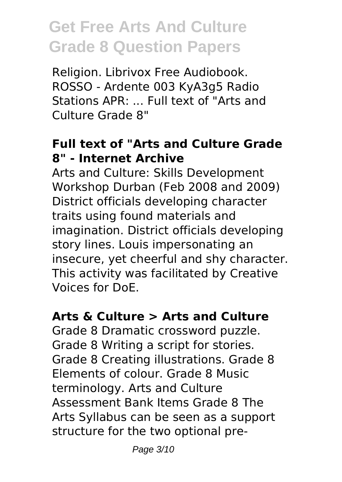Religion. Librivox Free Audiobook. ROSSO - Ardente 003 KyA3g5 Radio Stations APR: ... Full text of "Arts and Culture Grade 8"

### **Full text of "Arts and Culture Grade 8" - Internet Archive**

Arts and Culture: Skills Development Workshop Durban (Feb 2008 and 2009) District officials developing character traits using found materials and imagination. District officials developing story lines. Louis impersonating an insecure, yet cheerful and shy character. This activity was facilitated by Creative Voices for DoE.

### **Arts & Culture > Arts and Culture**

Grade 8 Dramatic crossword puzzle. Grade 8 Writing a script for stories. Grade 8 Creating illustrations. Grade 8 Elements of colour. Grade 8 Music terminology. Arts and Culture Assessment Bank Items Grade 8 The Arts Syllabus can be seen as a support structure for the two optional pre-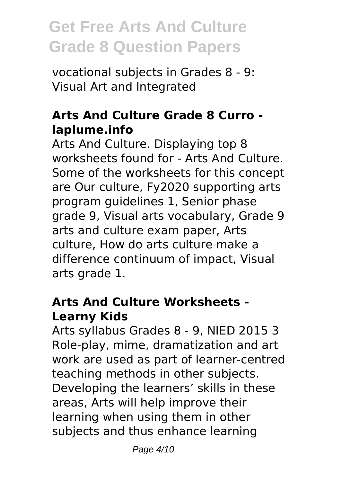vocational subjects in Grades 8 - 9: Visual Art and Integrated

### **Arts And Culture Grade 8 Curro laplume.info**

Arts And Culture. Displaying top 8 worksheets found for - Arts And Culture. Some of the worksheets for this concept are Our culture, Fy2020 supporting arts program guidelines 1, Senior phase grade 9, Visual arts vocabulary, Grade 9 arts and culture exam paper, Arts culture, How do arts culture make a difference continuum of impact, Visual arts grade 1.

### **Arts And Culture Worksheets - Learny Kids**

Arts syllabus Grades 8 - 9, NIED 2015 3 Role-play, mime, dramatization and art work are used as part of learner-centred teaching methods in other subjects. Developing the learners' skills in these areas, Arts will help improve their learning when using them in other subjects and thus enhance learning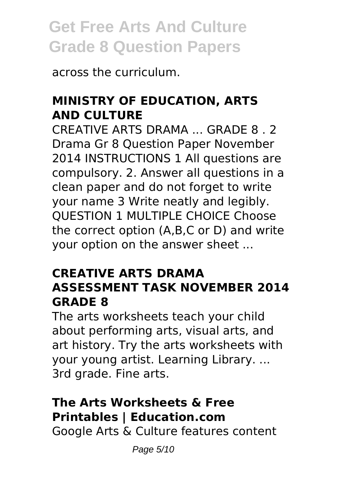across the curriculum.

### **MINISTRY OF EDUCATION, ARTS AND CULTURE**

CREATIVE ARTS DRAMA ... GRADE 8 . 2 Drama Gr 8 Question Paper November 2014 INSTRUCTIONS 1 All questions are compulsory. 2. Answer all questions in a clean paper and do not forget to write your name 3 Write neatly and legibly. QUESTION 1 MULTIPLE CHOICE Choose the correct option (A,B,C or D) and write your option on the answer sheet ...

### **CREATIVE ARTS DRAMA ASSESSMENT TASK NOVEMBER 2014 GRADE 8**

The arts worksheets teach your child about performing arts, visual arts, and art history. Try the arts worksheets with your young artist. Learning Library. ... 3rd grade. Fine arts.

### **The Arts Worksheets & Free Printables | Education.com**

Google Arts & Culture features content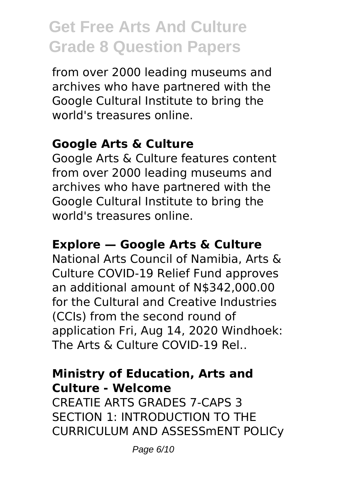from over 2000 leading museums and archives who have partnered with the Google Cultural Institute to bring the world's treasures online.

### **Google Arts & Culture**

Google Arts & Culture features content from over 2000 leading museums and archives who have partnered with the Google Cultural Institute to bring the world's treasures online.

#### **Explore — Google Arts & Culture**

National Arts Council of Namibia, Arts & Culture COVID-19 Relief Fund approves an additional amount of N\$342,000.00 for the Cultural and Creative Industries (CCIs) from the second round of application Fri, Aug 14, 2020 Windhoek: The Arts & Culture COVID-19 Rel..

#### **Ministry of Education, Arts and Culture - Welcome**

CREATIE ARTS GRADES 7-CAPS 3 SECTION 1: INTRODUCTION TO THE CURRICULUM AND ASSESSmENT POLICy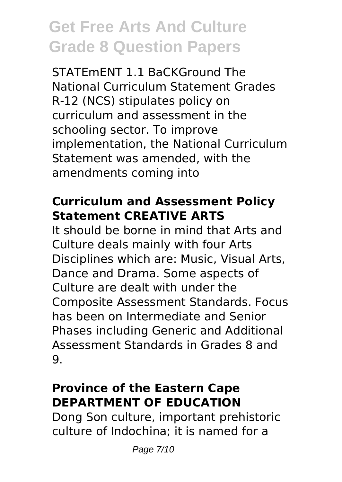STATEmENT 1.1 BaCKGround The National Curriculum Statement Grades R-12 (NCS) stipulates policy on curriculum and assessment in the schooling sector. To improve implementation, the National Curriculum Statement was amended, with the amendments coming into

### **Curriculum and Assessment Policy Statement CREATIVE ARTS**

It should be borne in mind that Arts and Culture deals mainly with four Arts Disciplines which are: Music, Visual Arts, Dance and Drama. Some aspects of Culture are dealt with under the Composite Assessment Standards. Focus has been on Intermediate and Senior Phases including Generic and Additional Assessment Standards in Grades 8 and  $Q_{\perp}$ 

### **Province of the Eastern Cape DEPARTMENT OF EDUCATION**

Dong Son culture, important prehistoric culture of Indochina; it is named for a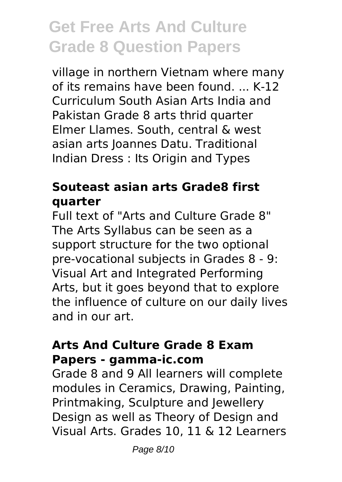village in northern Vietnam where many of its remains have been found. ... K-12 Curriculum South Asian Arts India and Pakistan Grade 8 arts thrid quarter Elmer Llames. South, central & west asian arts Joannes Datu. Traditional Indian Dress : Its Origin and Types

### **Souteast asian arts Grade8 first quarter**

Full text of "Arts and Culture Grade 8" The Arts Syllabus can be seen as a support structure for the two optional pre-vocational subjects in Grades 8 - 9: Visual Art and Integrated Performing Arts, but it goes beyond that to explore the influence of culture on our daily lives and in our art.

#### **Arts And Culture Grade 8 Exam Papers - gamma-ic.com**

Grade 8 and 9 All learners will complete modules in Ceramics, Drawing, Painting, Printmaking, Sculpture and Jewellery Design as well as Theory of Design and Visual Arts. Grades 10, 11 & 12 Learners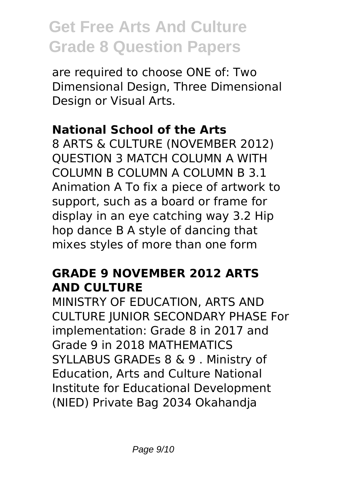are required to choose ONE of: Two Dimensional Design, Three Dimensional Design or Visual Arts.

### **National School of the Arts**

8 ARTS & CULTURE (NOVEMBER 2012) QUESTION 3 MATCH COLUMN A WITH COLUMN B COLUMN A COLUMN B 3.1 Animation A To fix a piece of artwork to support, such as a board or frame for display in an eye catching way 3.2 Hip hop dance B A style of dancing that mixes styles of more than one form

### **GRADE 9 NOVEMBER 2012 ARTS AND CULTURE**

MINISTRY OF EDUCATION, ARTS AND CULTURE JUNIOR SECONDARY PHASE For implementation: Grade 8 in 2017 and Grade 9 in 2018 MATHEMATICS SYLLABUS GRADEs 8 & 9 . Ministry of Education, Arts and Culture National Institute for Educational Development (NIED) Private Bag 2034 Okahandja